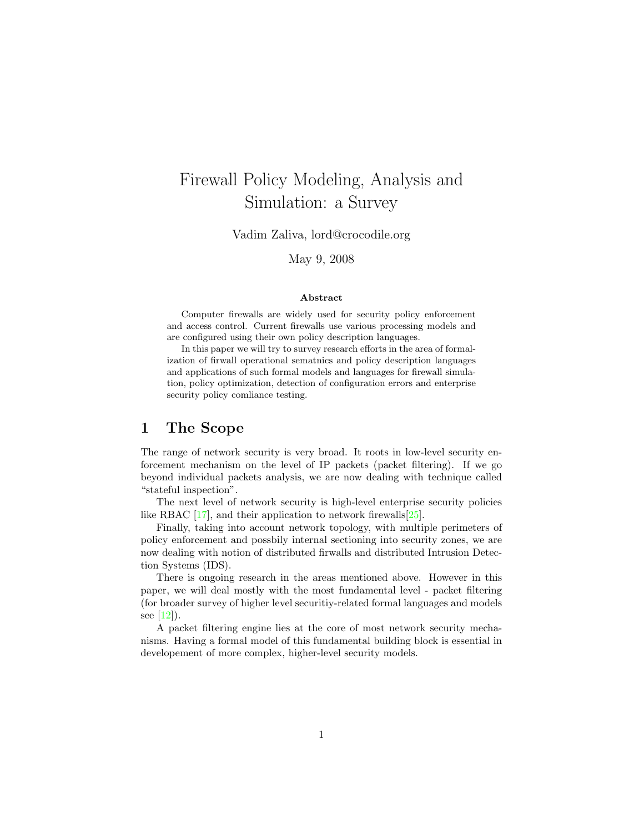# Firewall Policy Modeling, Analysis and Simulation: a Survey

Vadim Zaliva, lord@crocodile.org

May 9, 2008

#### Abstract

Computer firewalls are widely used for security policy enforcement and access control. Current firewalls use various processing models and are configured using their own policy description languages.

In this paper we will try to survey research efforts in the area of formalization of firwall operational sematnics and policy description languages and applications of such formal models and languages for firewall simulation, policy optimization, detection of configuration errors and enterprise security policy comliance testing.

### 1 The Scope

The range of network security is very broad. It roots in low-level security enforcement mechanism on the level of IP packets (packet filtering). If we go beyond individual packets analysis, we are now dealing with technique called "stateful inspection".

The next level of network security is high-level enterprise security policies like RBAC  $[17]$ , and their application to network firewalls $[25]$ .

Finally, taking into account network topology, with multiple perimeters of policy enforcement and possbily internal sectioning into security zones, we are now dealing with notion of distributed firwalls and distributed Intrusion Detection Systems (IDS).

There is ongoing research in the areas mentioned above. However in this paper, we will deal mostly with the most fundamental level - packet filtering (for broader survey of higher level securitiy-related formal languages and models see  $[12]$ ).

A packet filtering engine lies at the core of most network security mechanisms. Having a formal model of this fundamental building block is essential in developement of more complex, higher-level security models.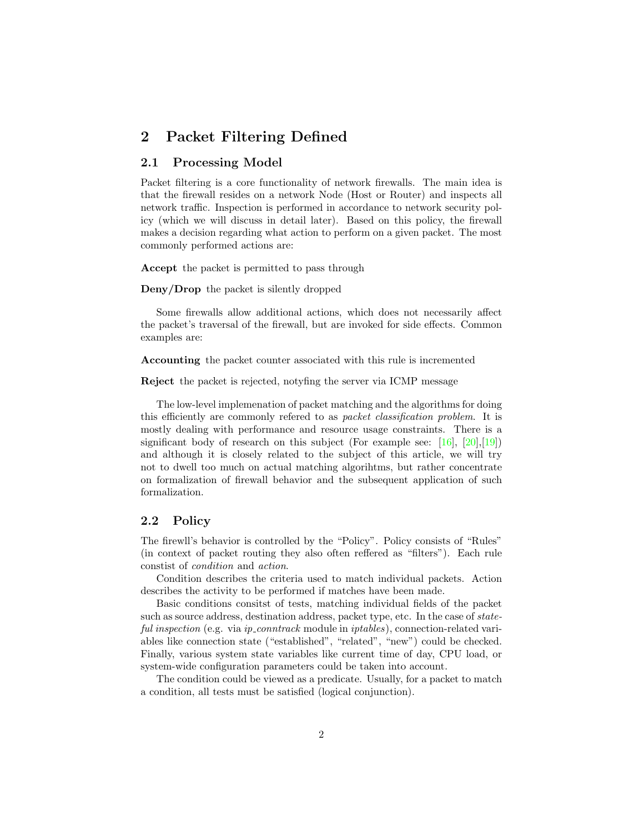## 2 Packet Filtering Defined

#### 2.1 Processing Model

Packet filtering is a core functionality of network firewalls. The main idea is that the firewall resides on a network Node (Host or Router) and inspects all network traffic. Inspection is performed in accordance to network security policy (which we will discuss in detail later). Based on this policy, the firewall makes a decision regarding what action to perform on a given packet. The most commonly performed actions are:

Accept the packet is permitted to pass through

Deny/Drop the packet is silently dropped

Some firewalls allow additional actions, which does not necessarily affect the packet's traversal of the firewall, but are invoked for side effects. Common examples are:

Accounting the packet counter associated with this rule is incremented

Reject the packet is rejected, notyfing the server via ICMP message

The low-level implemenation of packet matching and the algorithms for doing this efficiently are commonly refered to as packet classification problem. It is mostly dealing with performance and resource usage constraints. There is a significant body of research on this subject (For example see:  $[16]$ ,  $[20]$ , $[19]$ ) and although it is closely related to the subject of this article, we will try not to dwell too much on actual matching algorihtms, but rather concentrate on formalization of firewall behavior and the subsequent application of such formalization.

#### 2.2 Policy

The firewll's behavior is controlled by the "Policy". Policy consists of "Rules" (in context of packet routing they also often reffered as "filters"). Each rule constist of condition and action.

Condition describes the criteria used to match individual packets. Action describes the activity to be performed if matches have been made.

Basic conditions consitst of tests, matching individual fields of the packet such as source address, destination address, packet type, etc. In the case of stateful inspection (e.g. via ip\_conntrack module in iptables), connection-related variables like connection state ("established", "related", "new") could be checked. Finally, various system state variables like current time of day, CPU load, or system-wide configuration parameters could be taken into account.

The condition could be viewed as a predicate. Usually, for a packet to match a condition, all tests must be satisfied (logical conjunction).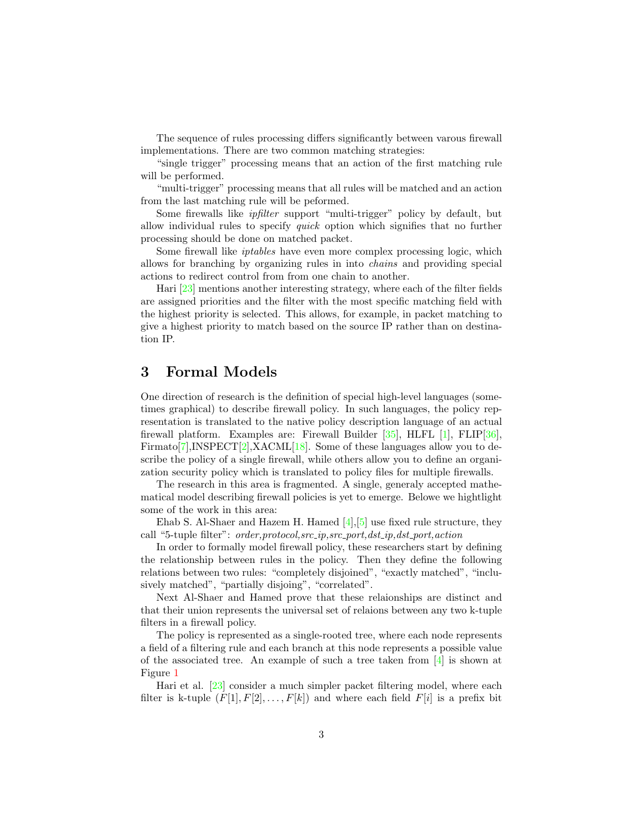The sequence of rules processing differs significantly between varous firewall implementations. There are two common matching strategies:

"single trigger" processing means that an action of the first matching rule will be performed.

"multi-trigger" processing means that all rules will be matched and an action from the last matching rule will be peformed.

Some firewalls like ipfilter support "multi-trigger" policy by default, but allow individual rules to specify quick option which signifies that no further processing should be done on matched packet.

Some firewall like iptables have even more complex processing logic, which allows for branching by organizing rules in into chains and providing special actions to redirect control from from one chain to another.

Hari [\[23\]](#page-9-1) mentions another interesting strategy, where each of the filter fields are assigned priorities and the filter with the most specific matching field with the highest priority is selected. This allows, for example, in packet matching to give a highest priority to match based on the source IP rather than on destination IP.

### 3 Formal Models

One direction of research is the definition of special high-level languages (sometimes graphical) to describe firewall policy. In such languages, the policy representation is translated to the native policy description language of an actual firewall platform. Examples are: Firewall Builder [\[35\]](#page-10-0), HLFL [\[1\]](#page-7-0), FLIP[\[36\]](#page-10-1), Firmato  $[7]$ , INSPECT $[2]$ , XACML $[18]$ . Some of these languages allow you to describe the policy of a single firewall, while others allow you to define an organization security policy which is translated to policy files for multiple firewalls.

The research in this area is fragmented. A single, generaly accepted mathematical model describing firewall policies is yet to emerge. Belowe we hightlight some of the work in this area:

Ehab S. Al-Shaer and Hazem H. Hamed  $[4], [5]$  $[4], [5]$  $[4], [5]$  use fixed rule structure, they call "5-tuple filter": order,protocol,src\_ip,src\_port,dst\_ip,dst\_port,action

In order to formally model firewall policy, these researchers start by defining the relationship between rules in the policy. Then they define the following relations between two rules: "completely disjoined", "exactly matched", "inclusively matched", "partially disjoing", "correlated".

Next Al-Shaer and Hamed prove that these relaionships are distinct and that their union represents the universal set of relaions between any two k-tuple filters in a firewall policy.

The policy is represented as a single-rooted tree, where each node represents a field of a filtering rule and each branch at this node represents a possible value of the associated tree. An example of such a tree taken from [\[4\]](#page-7-3) is shown at Figure [1](#page-3-0)

Hari et al. [\[23\]](#page-9-1) consider a much simpler packet filtering model, where each filter is k-tuple  $(F[1], F[2], \ldots, F[k])$  and where each field  $F[i]$  is a prefix bit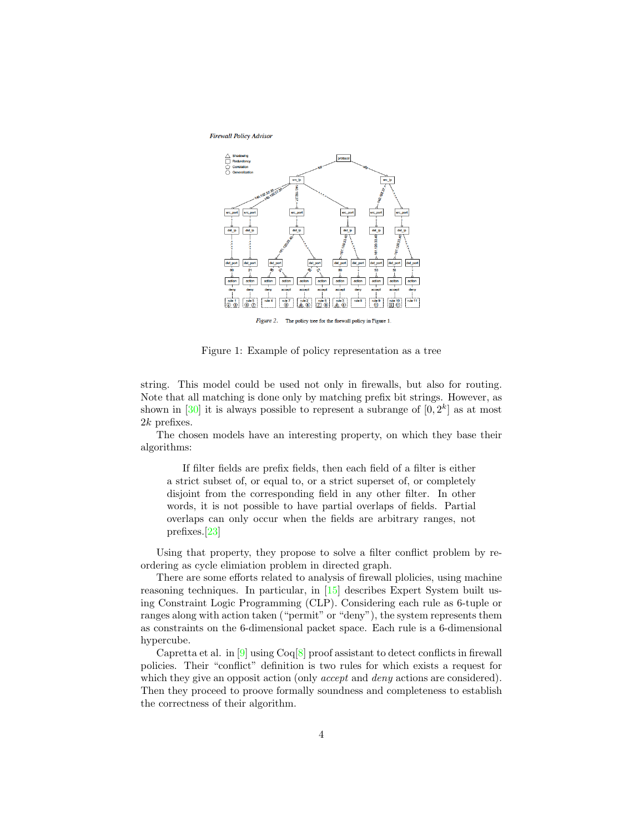Firewall Policy Advisor



<span id="page-3-0"></span>Figure 2. The policy tree for the firewall policy in Figure 1

Figure 1: Example of policy representation as a tree

string. This model could be used not only in firewalls, but also for routing. Note that all matching is done only by matching prefix bit strings. However, as shown in [\[30\]](#page-9-2) it is always possible to represent a subrange of  $[0, 2<sup>k</sup>]$  as at most 2k prefixes.

The chosen models have an interesting property, on which they base their algorithms:

If filter fields are prefix fields, then each field of a filter is either a strict subset of, or equal to, or a strict superset of, or completely disjoint from the corresponding field in any other filter. In other words, it is not possible to have partial overlaps of fields. Partial overlaps can only occur when the fields are arbitrary ranges, not prefixes.[\[23\]](#page-9-1)

Using that property, they propose to solve a filter conflict problem by reordering as cycle elimiation problem in directed graph.

There are some efforts related to analysis of firewall plolicies, using machine reasoning techniques. In particular, in [\[15\]](#page-8-6) describes Expert System built using Constraint Logic Programming (CLP). Considering each rule as 6-tuple or ranges along with action taken ("permit" or "deny"), the system represents them as constraints on the 6-dimensional packet space. Each rule is a 6-dimensional hypercube.

Capretta et al. in  $[9]$  using  $Coq[8]$  $Coq[8]$  proof assistant to detect conflicts in firewall policies. Their "conflict" definition is two rules for which exists a request for which they give an opposit action (only *accept* and *deny* actions are considered). Then they proceed to proove formally soundness and completeness to establish the correctness of their algorithm.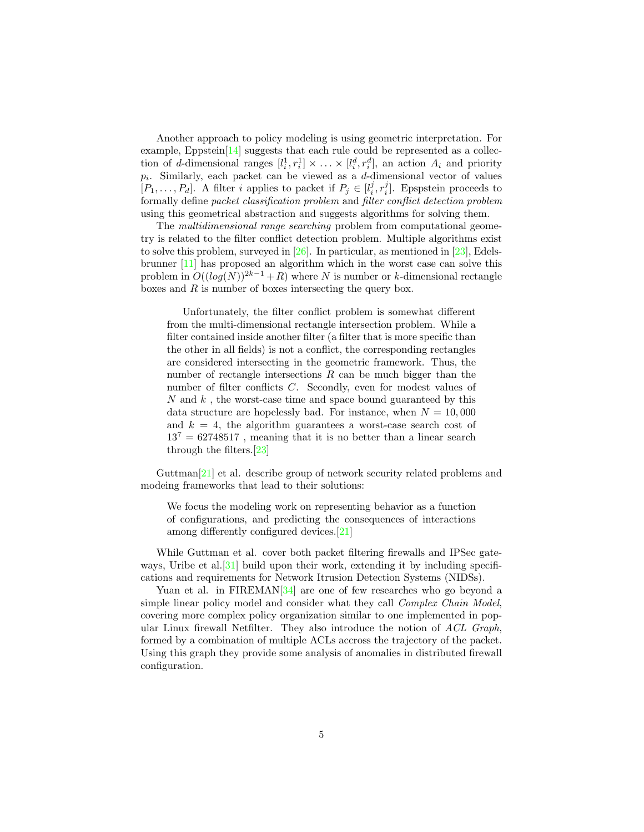Another approach to policy modeling is using geometric interpretation. For example, Eppstein<sup>[\[14\]](#page-8-8)</sup> suggests that each rule could be represented as a collection of d-dimensional ranges  $[l_i^1, r_i^1] \times \ldots \times [l_i^d, r_i^d]$ , an action  $A_i$  and priority  $p_i$ . Similarly, each packet can be viewed as a d-dimensional vector of values  $[P_1, \ldots, P_d]$ . A filter i applies to packet if  $P_j \in [l_i^j, r_i^j]$ . Epspstein proceeds to formally define packet classification problem and filter conflict detection problem using this geometrical abstraction and suggests algorithms for solving them.

The *multidimensional range searching* problem from computational geometry is related to the filter conflict detection problem. Multiple algorithms exist to solve this problem, surveyed in  $[26]$ . In particular, as mentioned in  $[23]$ , Edelsbrunner [\[11\]](#page-8-9) has proposed an algorithm which in the worst case can solve this problem in  $O((\log(N))^{2k-1} + R)$  where N is number or k-dimensional rectangle boxes and  $R$  is number of boxes intersecting the query box.

Unfortunately, the filter conflict problem is somewhat different from the multi-dimensional rectangle intersection problem. While a filter contained inside another filter (a filter that is more specific than the other in all fields) is not a conflict, the corresponding rectangles are considered intersecting in the geometric framework. Thus, the number of rectangle intersections  $R$  can be much bigger than the number of filter conflicts C. Secondly, even for modest values of  $N$  and  $k$ , the worst-case time and space bound guaranteed by this data structure are hopelessly bad. For instance, when  $N = 10,000$ and  $k = 4$ , the algorithm guarantees a worst-case search cost of  $13^{7} = 62748517$ , meaning that it is no better than a linear search through the filters.[\[23\]](#page-9-1)

Guttman[\[21\]](#page-8-10) et al. describe group of network security related problems and modeing frameworks that lead to their solutions:

We focus the modeling work on representing behavior as a function of configurations, and predicting the consequences of interactions among differently configured devices.[\[21\]](#page-8-10)

While Guttman et al. cover both packet filtering firewalls and IPSec gateways, Uribe et al.  $[31]$  build upon their work, extending it by including specifications and requirements for Network Itrusion Detection Systems (NIDSs).

Yuan et al. in  $FIREMAN[34]$  $FIREMAN[34]$  are one of few researches who go beyond a simple linear policy model and consider what they call *Complex Chain Model*, covering more complex policy organization similar to one implemented in popular Linux firewall Netfilter. They also introduce the notion of  $\Lambda CL$  Graph, formed by a combination of multiple ACLs accross the trajectory of the packet. Using this graph they provide some analysis of anomalies in distributed firewall configuration.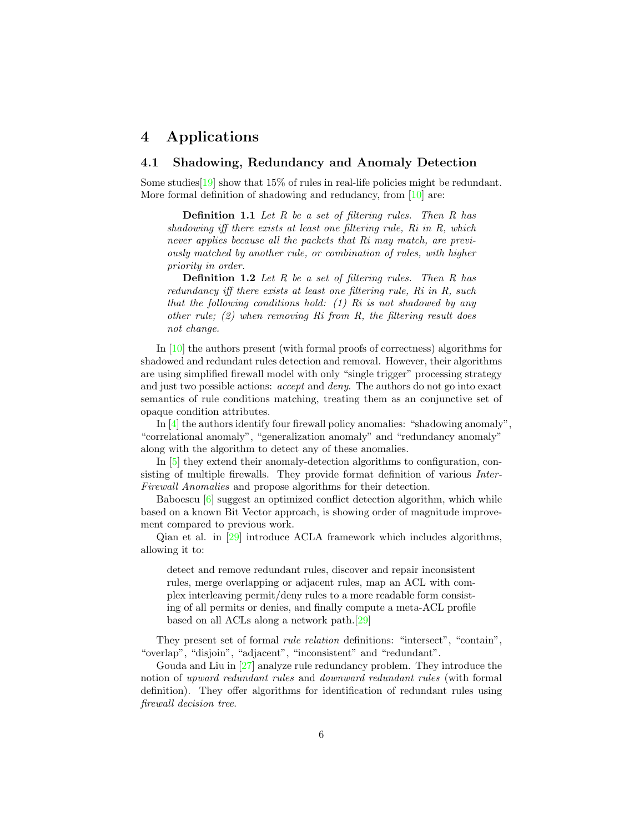### 4 Applications

### 4.1 Shadowing, Redundancy and Anomaly Detection

Some studies  $[19]$  show that  $15\%$  of rules in real-life policies might be redundant. More formal definition of shadowing and redudancy, from [\[10\]](#page-8-11) are:

**Definition 1.1** Let R be a set of filtering rules. Then R has shadowing iff there exists at least one filtering rule, Ri in R, which never applies because all the packets that Ri may match, are previously matched by another rule, or combination of rules, with higher priority in order.

**Definition 1.2** Let  $R$  be a set of filtering rules. Then  $R$  has redundancy iff there exists at least one filtering rule, Ri in R, such that the following conditions hold:  $(1)$  Ri is not shadowed by any other rule; (2) when removing Ri from R, the filtering result does not change.

In [\[10\]](#page-8-11) the authors present (with formal proofs of correctness) algorithms for shadowed and redundant rules detection and removal. However, their algorithms are using simplified firewall model with only "single trigger" processing strategy and just two possible actions: accept and deny. The authors do not go into exact semantics of rule conditions matching, treating them as an conjunctive set of opaque condition attributes.

In [\[4\]](#page-7-3) the authors identify four firewall policy anomalies: "shadowing anomaly", "correlational anomaly", "generalization anomaly" and "redundancy anomaly" along with the algorithm to detect any of these anomalies.

In [\[5\]](#page-7-4) they extend their anomaly-detection algorithms to configuration, consisting of multiple firewalls. They provide format definition of various Inter-Firewall Anomalies and propose algorithms for their detection.

Baboescu [\[6\]](#page-7-6) suggest an optimized conflict detection algorithm, which while based on a known Bit Vector approach, is showing order of magnitude improvement compared to previous work.

Qian et al. in [\[29\]](#page-9-6) introduce ACLA framework which includes algorithms, allowing it to:

detect and remove redundant rules, discover and repair inconsistent rules, merge overlapping or adjacent rules, map an ACL with complex interleaving permit/deny rules to a more readable form consisting of all permits or denies, and finally compute a meta-ACL profile based on all ACLs along a network path.[\[29\]](#page-9-6)

They present set of formal *rule relation* definitions: "intersect", "contain", "overlap", "disjoin", "adjacent", "inconsistent" and "redundant".

Gouda and Liu in [\[27\]](#page-9-7) analyze rule redundancy problem. They introduce the notion of upward redundant rules and downward redundant rules (with formal definition). They offer algorithms for identification of redundant rules using firewall decision tree.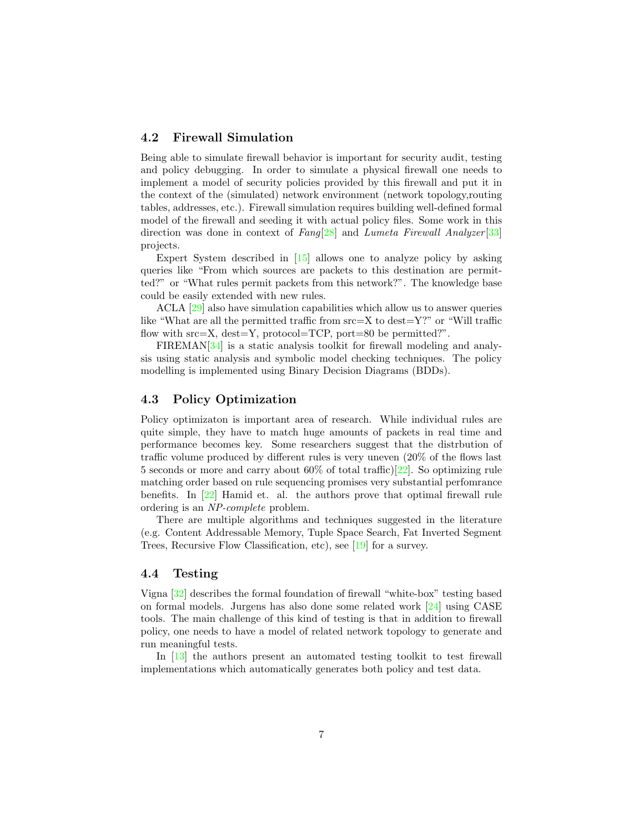### 4.2 Firewall Simulation

Being able to simulate firewall behavior is important for security audit, testing and policy debugging. In order to simulate a physical firewall one needs to implement a model of security policies provided by this firewall and put it in the context of the (simulated) network environment (network topology,routing tables, addresses, etc.). Firewall simulation requires building well-defined formal model of the firewall and seeding it with actual policy files. Some work in this direction was done in context of  $Fang[28]$  $Fang[28]$  and Lumeta Firewall Analyzer [\[33\]](#page-9-9) projects.

Expert System described in [\[15\]](#page-8-6) allows one to analyze policy by asking queries like "From which sources are packets to this destination are permitted?" or "What rules permit packets from this network?". The knowledge base could be easily extended with new rules.

ACLA [\[29\]](#page-9-6) also have simulation capabilities which allow us to answer queries like "What are all the permitted traffic from  $src = X$  to  $dest = Y$ ?" or "Will traffic flow with  $src = X$ ,  $dest = Y$ ,  $protocol = TCP$ ,  $port = 80$  be permitted?".

FIREMAN[\[34\]](#page-9-5) is a static analysis toolkit for firewall modeling and analysis using static analysis and symbolic model checking techniques. The policy modelling is implemented using Binary Decision Diagrams (BDDs).

### 4.3 Policy Optimization

Policy optimizaton is important area of research. While individual rules are quite simple, they have to match huge amounts of packets in real time and performance becomes key. Some researchers suggest that the distrbution of traffic volume produced by different rules is very uneven (20% of the flows last 5 seconds or more and carry about 60% of total traffic)[\[22\]](#page-9-10). So optimizing rule matching order based on rule sequencing promises very substantial perfomrance benefits. In [\[22\]](#page-9-10) Hamid et. al. the authors prove that optimal firewall rule ordering is an NP-complete problem.

There are multiple algorithms and techniques suggested in the literature (e.g. Content Addressable Memory, Tuple Space Search, Fat Inverted Segment Trees, Recursive Flow Classification, etc), see [\[19\]](#page-8-4) for a survey.

#### 4.4 Testing

Vigna [\[32\]](#page-9-11) describes the formal foundation of firewall "white-box" testing based on formal models. Jurgens has also done some related work [\[24\]](#page-9-12) using CASE tools. The main challenge of this kind of testing is that in addition to firewall policy, one needs to have a model of related network topology to generate and run meaningful tests.

In [\[13\]](#page-8-12) the authors present an automated testing toolkit to test firewall implementations which automatically generates both policy and test data.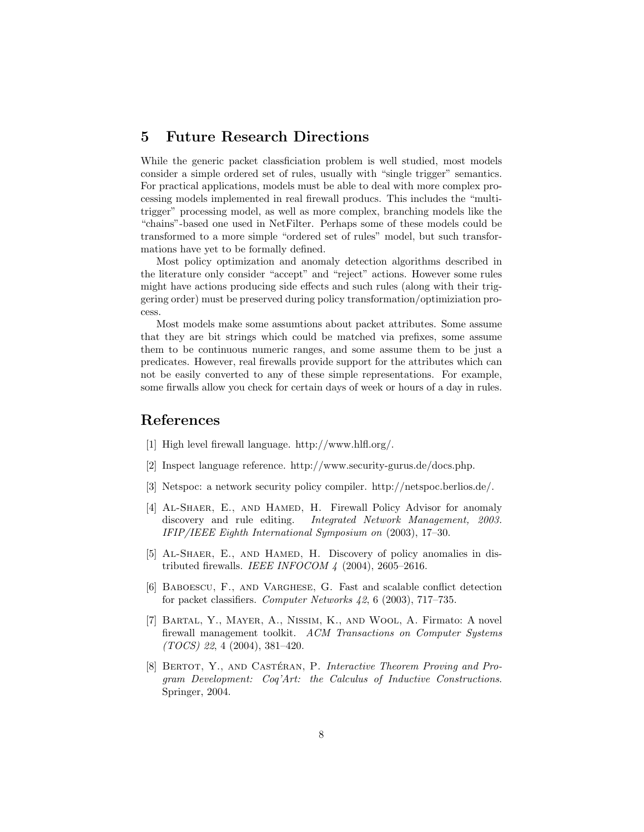### 5 Future Research Directions

While the generic packet classficiation problem is well studied, most models consider a simple ordered set of rules, usually with "single trigger" semantics. For practical applications, models must be able to deal with more complex processing models implemented in real firewall producs. This includes the "multitrigger" processing model, as well as more complex, branching models like the "chains"-based one used in NetFilter. Perhaps some of these models could be transformed to a more simple "ordered set of rules" model, but such transformations have yet to be formally defined.

Most policy optimization and anomaly detection algorithms described in the literature only consider "accept" and "reject" actions. However some rules might have actions producing side effects and such rules (along with their triggering order) must be preserved during policy transformation/optimiziation process.

Most models make some assumtions about packet attributes. Some assume that they are bit strings which could be matched via prefixes, some assume them to be continuous numeric ranges, and some assume them to be just a predicates. However, real firewalls provide support for the attributes which can not be easily converted to any of these simple representations. For example, some firwalls allow you check for certain days of week or hours of a day in rules.

### References

- <span id="page-7-0"></span>[1] High level firewall language. http://www.hlfl.org/.
- <span id="page-7-2"></span>[2] Inspect language reference. http://www.security-gurus.de/docs.php.
- [3] Netspoc: a network security policy compiler. http://netspoc.berlios.de/.
- <span id="page-7-3"></span>[4] AL-SHAER, E., AND HAMED, H. Firewall Policy Advisor for anomaly discovery and rule editing. *Integrated Network Management*, 2003. IFIP/IEEE Eighth International Symposium on (2003), 17–30.
- <span id="page-7-4"></span>[5] AL-SHAER, E., AND HAMED, H. Discovery of policy anomalies in distributed firewalls. IEEE INFOCOM  $\frac{1}{4}$  (2004), 2605-2616.
- <span id="page-7-6"></span>[6] Baboescu, F., and Varghese, G. Fast and scalable conflict detection for packet classifiers. Computer Networks 42, 6 (2003), 717–735.
- <span id="page-7-1"></span>[7] Bartal, Y., Mayer, A., Nissim, K., and Wool, A. Firmato: A novel firewall management toolkit. ACM Transactions on Computer Systems (TOCS) 22, 4 (2004), 381–420.
- <span id="page-7-5"></span>[8] BERTOT, Y., AND CASTÉRAN, P. Interactive Theorem Proving and Program Development: Coq'Art: the Calculus of Inductive Constructions. Springer, 2004.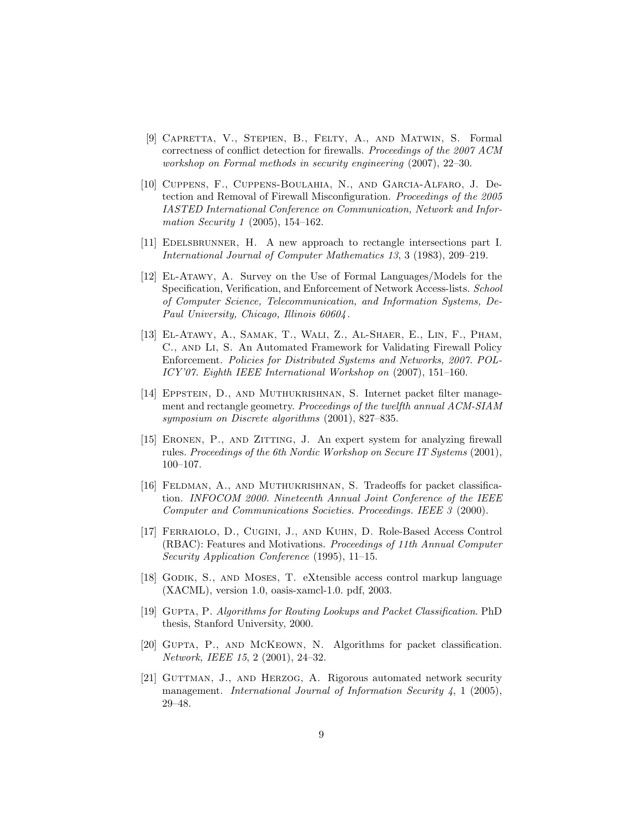- <span id="page-8-7"></span>[9] Capretta, V., Stepien, B., Felty, A., and Matwin, S. Formal correctness of conflict detection for firewalls. Proceedings of the 2007 ACM workshop on Formal methods in security engineering (2007), 22–30.
- <span id="page-8-11"></span>[10] Cuppens, F., Cuppens-Boulahia, N., and Garcıa-Alfaro, J. Detection and Removal of Firewall Misconfiguration. Proceedings of the 2005 IASTED International Conference on Communication, Network and Information Security 1 (2005), 154–162.
- <span id="page-8-9"></span>[11] EDELSBRUNNER, H. A new approach to rectangle intersections part I. International Journal of Computer Mathematics 13, 3 (1983), 209–219.
- <span id="page-8-1"></span>[12] El-Atawy, A. Survey on the Use of Formal Languages/Models for the Specification, Verification, and Enforcement of Network Access-lists. School of Computer Science, Telecommunication, and Information Systems, De-Paul University, Chicago, Illinois 60604 .
- <span id="page-8-12"></span>[13] El-Atawy, A., Samak, T., Wali, Z., Al-Shaer, E., Lin, F., Pham, C., and Li, S. An Automated Framework for Validating Firewall Policy Enforcement. Policies for Distributed Systems and Networks, 2007. POL-ICY'07. Eighth IEEE International Workshop on (2007), 151–160.
- <span id="page-8-8"></span>[14] Eppstein, D., and Muthukrishnan, S. Internet packet filter management and rectangle geometry. Proceedings of the twelfth annual ACM-SIAM symposium on Discrete algorithms (2001), 827–835.
- <span id="page-8-6"></span>[15] ERONEN, P., AND ZITTING, J. An expert system for analyzing firewall rules. Proceedings of the 6th Nordic Workshop on Secure IT Systems (2001), 100–107.
- <span id="page-8-2"></span>[16] FELDMAN, A., AND MUTHUKRISHNAN, S. Tradeoffs for packet classification. INFOCOM 2000. Nineteenth Annual Joint Conference of the IEEE Computer and Communications Societies. Proceedings. IEEE 3 (2000).
- <span id="page-8-0"></span>[17] Ferraiolo, D., Cugini, J., and Kuhn, D. Role-Based Access Control (RBAC): Features and Motivations. Proceedings of 11th Annual Computer Security Application Conference (1995), 11–15.
- <span id="page-8-5"></span>[18] GODIK, S., AND MOSES, T. eXtensible access control markup language (XACML), version 1.0, oasis-xamcl-1.0. pdf, 2003.
- <span id="page-8-4"></span>[19] GUPTA, P. Algorithms for Routing Lookups and Packet Classification. PhD thesis, Stanford University, 2000.
- <span id="page-8-3"></span>[20] Gupta, P., and McKeown, N. Algorithms for packet classification. Network, IEEE 15, 2 (2001), 24–32.
- <span id="page-8-10"></span>[21] GUTTMAN, J., AND HERZOG, A. Rigorous automated network security management. International Journal of Information Security  $\ddot{4}$ , 1 (2005), 29–48.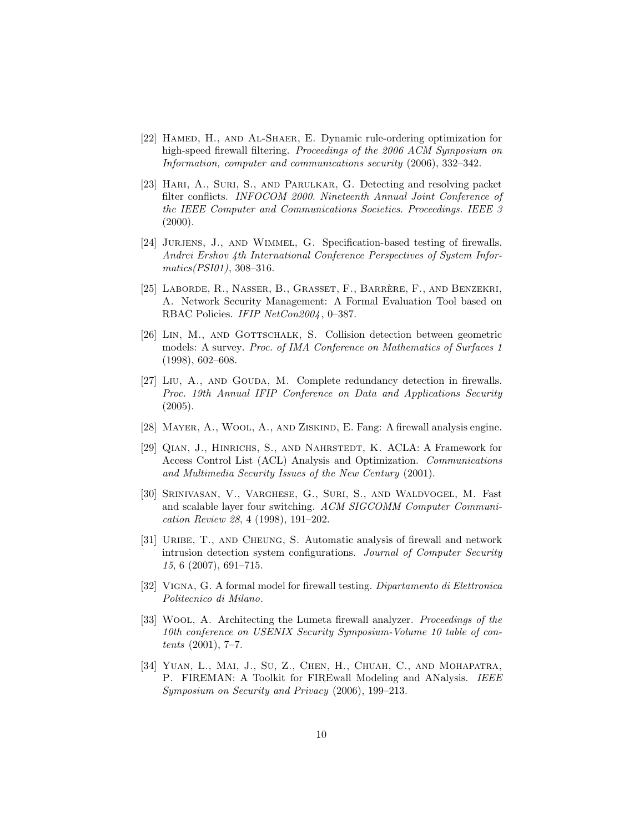- <span id="page-9-10"></span>[22] HAMED, H., AND AL-SHAER, E. Dynamic rule-ordering optimization for high-speed firewall filtering. Proceedings of the 2006 ACM Symposium on Information, computer and communications security (2006), 332–342.
- <span id="page-9-1"></span>[23] HARI, A., SURI, S., AND PARULKAR, G. Detecting and resolving packet filter conflicts. INFOCOM 2000. Nineteenth Annual Joint Conference of the IEEE Computer and Communications Societies. Proceedings. IEEE 3  $(2000).$
- <span id="page-9-12"></span>[24] JURJENS, J., AND WIMMEL, G. Specification-based testing of firewalls. Andrei Ershov 4th International Conference Perspectives of System Informatics(PSI01), 308–316.
- <span id="page-9-0"></span>[25] LABORDE, R., NASSER, B., GRASSET, F., BARRÈRE, F., AND BENZEKRI, A. Network Security Management: A Formal Evaluation Tool based on RBAC Policies. IFIP NetCon2004, 0-387.
- <span id="page-9-3"></span>[26] LIN, M., AND GOTTSCHALK, S. Collision detection between geometric models: A survey. Proc. of IMA Conference on Mathematics of Surfaces 1 (1998), 602–608.
- <span id="page-9-7"></span>[27] LIU, A., AND GOUDA, M. Complete redundancy detection in firewalls. Proc. 19th Annual IFIP Conference on Data and Applications Security (2005).
- <span id="page-9-8"></span>[28] MAYER, A., WOOL, A., AND ZISKIND, E. Fang: A firewall analysis engine.
- <span id="page-9-6"></span>[29] Qian, J., Hinrichs, S., and Nahrstedt, K. ACLA: A Framework for Access Control List (ACL) Analysis and Optimization. Communications and Multimedia Security Issues of the New Century (2001).
- <span id="page-9-2"></span>[30] Srinivasan, V., Varghese, G., Suri, S., and Waldvogel, M. Fast and scalable layer four switching. ACM SIGCOMM Computer Communication Review 28, 4 (1998), 191–202.
- <span id="page-9-4"></span>[31] URIBE, T., AND CHEUNG, S. Automatic analysis of firewall and network intrusion detection system configurations. Journal of Computer Security 15, 6 (2007), 691–715.
- <span id="page-9-11"></span>[32] VIGNA, G. A formal model for firewall testing. Dipartamento di Elettronica Politecnico di Milano.
- <span id="page-9-9"></span>[33] Wool, A. Architecting the Lumeta firewall analyzer. Proceedings of the 10th conference on USENIX Security Symposium-Volume 10 table of contents (2001), 7–7.
- <span id="page-9-5"></span>[34] YUAN, L., MAI, J., SU, Z., CHEN, H., CHUAH, C., AND MOHAPATRA, P. FIREMAN: A Toolkit for FIREwall Modeling and ANalysis. IEEE Symposium on Security and Privacy (2006), 199–213.